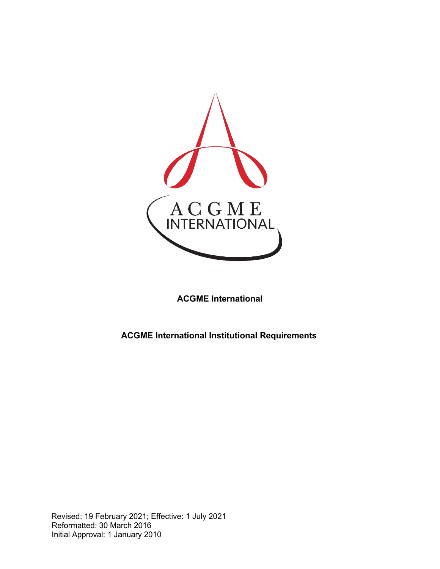

**ACGME International**

**ACGME International Institutional Requirements**

Revised: 19 February 2021; Effective: 1 July 2021 Reformatted: 30 March 2016 Initial Approval: 1 January 2010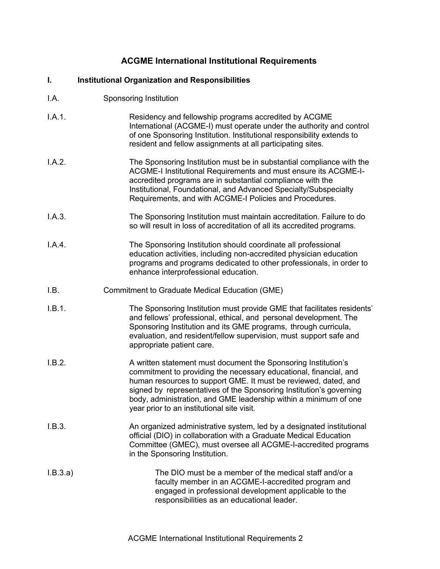## **ACGME International Institutional Requirements**

## **I. Institutional Organization and Responsibilities**

- I.A. Sponsoring Institution
- I.A.1. Residency and fellowship programs accredited by ACGME International (ACGME-I) must operate under the authority and control of one Sponsoring Institution. Institutional responsibility extends to resident and fellow assignments at all participating sites.
- I.A.2. The Sponsoring Institution must be in substantial compliance with the ACGME-I Institutional Requirements and must ensure its ACGME-Iaccredited programs are in substantial compliance with the Institutional, Foundational, and Advanced Specialty/Subspecialty Requirements, and with ACGME-I Policies and Procedures.
- I.A.3. The Sponsoring Institution must maintain accreditation. Failure to do so will result in loss of accreditation of all its accredited programs.
- I.A.4. The Sponsoring Institution should coordinate all professional education activities, including non-accredited physician education programs and programs dedicated to other professionals, in order to enhance interprofessional education.
- I.B. Commitment to Graduate Medical Education (GME)
- I.B.1. The Sponsoring Institution must provide GME that facilitates residents' and fellows' professional, ethical, and personal development. The Sponsoring Institution and its GME programs, through curricula, evaluation, and resident/fellow supervision, must support safe and appropriate patient care.
- I.B.2. A written statement must document the Sponsoring Institution's commitment to providing the necessary educational, financial, and human resources to support GME. It must be reviewed, dated, and signed by representatives of the Sponsoring Institution's governing body, administration, and GME leadership within a minimum of one year prior to an institutional site visit.
- I.B.3. An organized administrative system, led by a designated institutional official (DIO) in collaboration with a Graduate Medical Education Committee (GMEC), must oversee all ACGME-I-accredited programs in the Sponsoring Institution.
- I.B.3.a) The DIO must be a member of the medical staff and/or a faculty member in an ACGME-I-accredited program and engaged in professional development applicable to the responsibilities as an educational leader.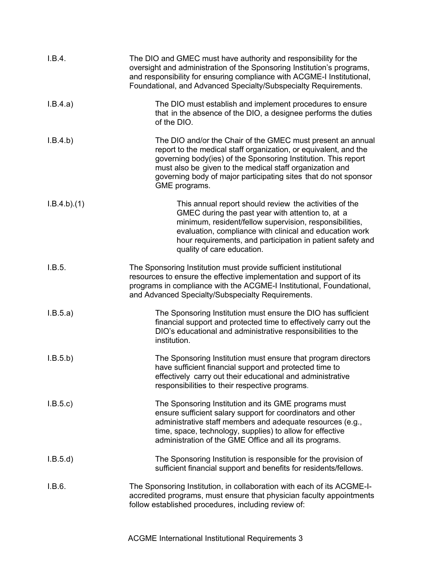| I.B.4.      | The DIO and GMEC must have authority and responsibility for the<br>oversight and administration of the Sponsoring Institution's programs,<br>and responsibility for ensuring compliance with ACGME-I Institutional,<br>Foundational, and Advanced Specialty/Subspecialty Requirements.                                                            |
|-------------|---------------------------------------------------------------------------------------------------------------------------------------------------------------------------------------------------------------------------------------------------------------------------------------------------------------------------------------------------|
| I.B.4.a)    | The DIO must establish and implement procedures to ensure<br>that in the absence of the DIO, a designee performs the duties<br>of the DIO.                                                                                                                                                                                                        |
| I.B.4.b)    | The DIO and/or the Chair of the GMEC must present an annual<br>report to the medical staff organization, or equivalent, and the<br>governing body(ies) of the Sponsoring Institution. This report<br>must also be given to the medical staff organization and<br>governing body of major participating sites that do not sponsor<br>GME programs. |
| I.B.4.b)(1) | This annual report should review the activities of the<br>GMEC during the past year with attention to, at a<br>minimum, resident/fellow supervision, responsibilities,<br>evaluation, compliance with clinical and education work<br>hour requirements, and participation in patient safety and<br>quality of care education.                     |
| I.B.5.      | The Sponsoring Institution must provide sufficient institutional<br>resources to ensure the effective implementation and support of its<br>programs in compliance with the ACGME-I Institutional, Foundational,<br>and Advanced Specialty/Subspecialty Requirements.                                                                              |
| I.B.5.a)    | The Sponsoring Institution must ensure the DIO has sufficient<br>financial support and protected time to effectively carry out the<br>DIO's educational and administrative responsibilities to the<br>institution.                                                                                                                                |
| I.B.5.b)    | The Sponsoring Institution must ensure that program directors<br>have sufficient financial support and protected time to<br>effectively carry out their educational and administrative<br>responsibilities to their respective programs.                                                                                                          |
| I.B.5.c     | The Sponsoring Institution and its GME programs must<br>ensure sufficient salary support for coordinators and other<br>administrative staff members and adequate resources (e.g.,<br>time, space, technology, supplies) to allow for effective<br>administration of the GME Office and all its programs.                                          |
| I.B.5.d)    | The Sponsoring Institution is responsible for the provision of<br>sufficient financial support and benefits for residents/fellows.                                                                                                                                                                                                                |
| I.B.6.      | The Sponsoring Institution, in collaboration with each of its ACGME-I-<br>accredited programs, must ensure that physician faculty appointments<br>follow established procedures, including review of:                                                                                                                                             |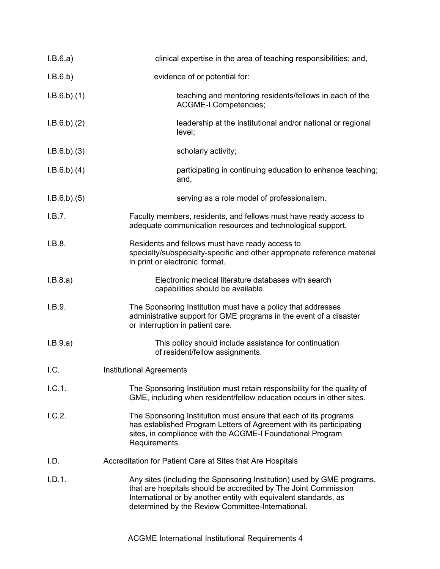| I.B.6.a)    | clinical expertise in the area of teaching responsibilities; and,                                                                                                                                                                                                  |
|-------------|--------------------------------------------------------------------------------------------------------------------------------------------------------------------------------------------------------------------------------------------------------------------|
| I.B.6.b)    | evidence of or potential for:                                                                                                                                                                                                                                      |
| I.B.6.b)(1) | teaching and mentoring residents/fellows in each of the<br><b>ACGME-I Competencies;</b>                                                                                                                                                                            |
| I.B.6.b)(2) | leadership at the institutional and/or national or regional<br>level;                                                                                                                                                                                              |
| I.B.6.b)(3) | scholarly activity;                                                                                                                                                                                                                                                |
| I.B.6.b)(4) | participating in continuing education to enhance teaching;<br>and,                                                                                                                                                                                                 |
| I.B.6.b)(5) | serving as a role model of professionalism.                                                                                                                                                                                                                        |
| I.B.7.      | Faculty members, residents, and fellows must have ready access to<br>adequate communication resources and technological support.                                                                                                                                   |
| I.B.8.      | Residents and fellows must have ready access to<br>specialty/subspecialty-specific and other appropriate reference material<br>in print or electronic format.                                                                                                      |
| I.B.8.a)    | Electronic medical literature databases with search<br>capabilities should be available.                                                                                                                                                                           |
| I.B.9.      | The Sponsoring Institution must have a policy that addresses<br>administrative support for GME programs in the event of a disaster<br>or interruption in patient care.                                                                                             |
| I.B.9.a)    | This policy should include assistance for continuation<br>of resident/fellow assignments.                                                                                                                                                                          |
| I.C.        | <b>Institutional Agreements</b>                                                                                                                                                                                                                                    |
| I.C.1.      | The Sponsoring Institution must retain responsibility for the quality of<br>GME, including when resident/fellow education occurs in other sites.                                                                                                                   |
| 1.C.2.      | The Sponsoring Institution must ensure that each of its programs<br>has established Program Letters of Agreement with its participating<br>sites, in compliance with the ACGME-I Foundational Program<br>Requirements.                                             |
| I.D.        | Accreditation for Patient Care at Sites that Are Hospitals                                                                                                                                                                                                         |
| I.D.1.      | Any sites (including the Sponsoring Institution) used by GME programs,<br>that are hospitals should be accredited by The Joint Commission<br>International or by another entity with equivalent standards, as<br>determined by the Review Committee-International. |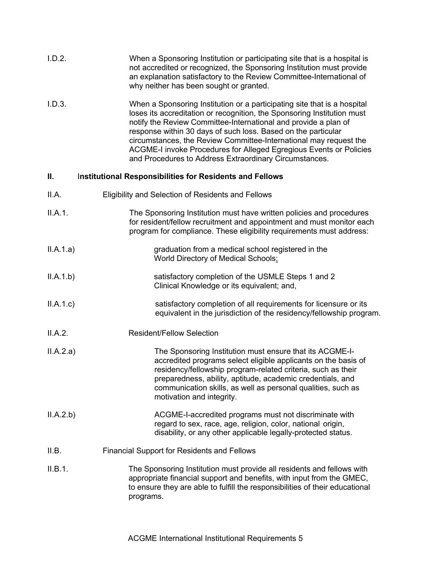| I.D.2.    | When a Sponsoring Institution or participating site that is a hospital is<br>not accredited or recognized, the Sponsoring Institution must provide<br>an explanation satisfactory to the Review Committee-International of<br>why neither has been sought or granted.                                                                                                                                                                                                                        |
|-----------|----------------------------------------------------------------------------------------------------------------------------------------------------------------------------------------------------------------------------------------------------------------------------------------------------------------------------------------------------------------------------------------------------------------------------------------------------------------------------------------------|
| I.D.3.    | When a Sponsoring Institution or a participating site that is a hospital<br>loses its accreditation or recognition, the Sponsoring Institution must<br>notify the Review Committee-International and provide a plan of<br>response within 30 days of such loss. Based on the particular<br>circumstances, the Review Committee-International may request the<br>ACGME-I invoke Procedures for Alleged Egregious Events or Policies<br>and Procedures to Address Extraordinary Circumstances. |
| Ⅱ.        | Institutional Responsibilities for Residents and Fellows                                                                                                                                                                                                                                                                                                                                                                                                                                     |
| II.A.     | Eligibility and Selection of Residents and Fellows                                                                                                                                                                                                                                                                                                                                                                                                                                           |
| II.A.1.   | The Sponsoring Institution must have written policies and procedures<br>for resident/fellow recruitment and appointment and must monitor each<br>program for compliance. These eligibility requirements must address:                                                                                                                                                                                                                                                                        |
| II.A.1.a) | graduation from a medical school registered in the<br>World Directory of Medical Schools:                                                                                                                                                                                                                                                                                                                                                                                                    |
| II.A.1.b) | satisfactory completion of the USMLE Steps 1 and 2<br>Clinical Knowledge or its equivalent; and,                                                                                                                                                                                                                                                                                                                                                                                             |
| II.A.1.c  | satisfactory completion of all requirements for licensure or its<br>equivalent in the jurisdiction of the residency/fellowship program.                                                                                                                                                                                                                                                                                                                                                      |
| II.A.2.   | <b>Resident/Fellow Selection</b>                                                                                                                                                                                                                                                                                                                                                                                                                                                             |
| II.A.2.a) | The Sponsoring Institution must ensure that its ACGME-I-<br>accredited programs select eligible applicants on the basis of<br>residency/fellowship program-related criteria, such as their<br>preparedness, ability, aptitude, academic credentials, and<br>communication skills, as well as personal qualities, such as<br>motivation and integrity.                                                                                                                                        |
| II.A.2.b) | ACGME-I-accredited programs must not discriminate with<br>regard to sex, race, age, religion, color, national origin,<br>disability, or any other applicable legally-protected status.                                                                                                                                                                                                                                                                                                       |
| II.B.     | <b>Financial Support for Residents and Fellows</b>                                                                                                                                                                                                                                                                                                                                                                                                                                           |

II.B.1. The Sponsoring Institution must provide all residents and fellows with appropriate financial support and benefits, with input from the GMEC, to ensure they are able to fulfill the responsibilities of their educational programs.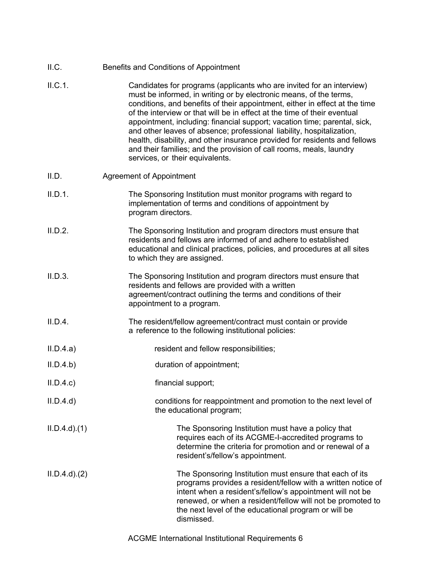| II.C.             | Benefits and Conditions of Appointment                                                                                                                                                                                                                                                                                                                                                                                                                                                                                                                                                                                                               |
|-------------------|------------------------------------------------------------------------------------------------------------------------------------------------------------------------------------------------------------------------------------------------------------------------------------------------------------------------------------------------------------------------------------------------------------------------------------------------------------------------------------------------------------------------------------------------------------------------------------------------------------------------------------------------------|
| II.C.1.           | Candidates for programs (applicants who are invited for an interview)<br>must be informed, in writing or by electronic means, of the terms,<br>conditions, and benefits of their appointment, either in effect at the time<br>of the interview or that will be in effect at the time of their eventual<br>appointment, including: financial support; vacation time; parental, sick,<br>and other leaves of absence; professional liability, hospitalization,<br>health, disability, and other insurance provided for residents and fellows<br>and their families; and the provision of call rooms, meals, laundry<br>services, or their equivalents. |
| II.D.             | <b>Agreement of Appointment</b>                                                                                                                                                                                                                                                                                                                                                                                                                                                                                                                                                                                                                      |
| II.D.1.           | The Sponsoring Institution must monitor programs with regard to<br>implementation of terms and conditions of appointment by<br>program directors.                                                                                                                                                                                                                                                                                                                                                                                                                                                                                                    |
| II.D.2.           | The Sponsoring Institution and program directors must ensure that<br>residents and fellows are informed of and adhere to established<br>educational and clinical practices, policies, and procedures at all sites<br>to which they are assigned.                                                                                                                                                                                                                                                                                                                                                                                                     |
| II.D.3.           | The Sponsoring Institution and program directors must ensure that<br>residents and fellows are provided with a written<br>agreement/contract outlining the terms and conditions of their<br>appointment to a program.                                                                                                                                                                                                                                                                                                                                                                                                                                |
| II.D.4.           | The resident/fellow agreement/contract must contain or provide<br>a reference to the following institutional policies:                                                                                                                                                                                                                                                                                                                                                                                                                                                                                                                               |
| II.D.4.a)         | resident and fellow responsibilities;                                                                                                                                                                                                                                                                                                                                                                                                                                                                                                                                                                                                                |
| II.D.4.b)         | duration of appointment;                                                                                                                                                                                                                                                                                                                                                                                                                                                                                                                                                                                                                             |
| II.D.4.c          | financial support;                                                                                                                                                                                                                                                                                                                                                                                                                                                                                                                                                                                                                                   |
| II.D.4.d          | conditions for reappointment and promotion to the next level of<br>the educational program;                                                                                                                                                                                                                                                                                                                                                                                                                                                                                                                                                          |
| $ILD.4.d$ . $(1)$ | The Sponsoring Institution must have a policy that<br>requires each of its ACGME-I-accredited programs to<br>determine the criteria for promotion and or renewal of a<br>resident's/fellow's appointment.                                                                                                                                                                                                                                                                                                                                                                                                                                            |
| ILD.4.d)(2)       | The Sponsoring Institution must ensure that each of its<br>programs provides a resident/fellow with a written notice of<br>intent when a resident's/fellow's appointment will not be<br>renewed, or when a resident/fellow will not be promoted to<br>the next level of the educational program or will be<br>dismissed.                                                                                                                                                                                                                                                                                                                             |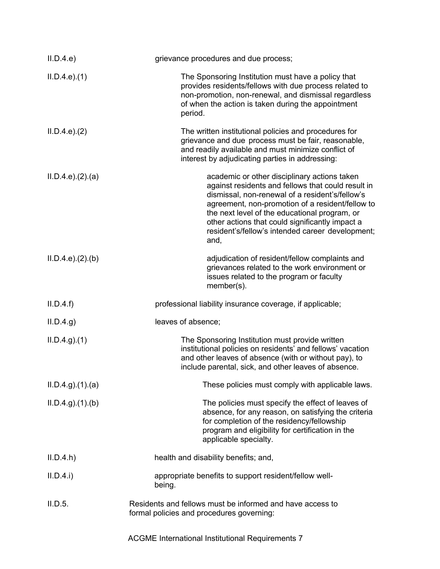| II.D.4.e          | grievance procedures and due process;                                                                                                                                                                                                                                                                                                                                     |
|-------------------|---------------------------------------------------------------------------------------------------------------------------------------------------------------------------------------------------------------------------------------------------------------------------------------------------------------------------------------------------------------------------|
| ILD.4.e. (1)      | The Sponsoring Institution must have a policy that<br>provides residents/fellows with due process related to<br>non-promotion, non-renewal, and dismissal regardless<br>of when the action is taken during the appointment<br>period.                                                                                                                                     |
| ILD.4.e. (2)      | The written institutional policies and procedures for<br>grievance and due process must be fair, reasonable,<br>and readily available and must minimize conflict of<br>interest by adjudicating parties in addressing:                                                                                                                                                    |
| ILD.4.e.22(a)     | academic or other disciplinary actions taken<br>against residents and fellows that could result in<br>dismissal, non-renewal of a resident's/fellow's<br>agreement, non-promotion of a resident/fellow to<br>the next level of the educational program, or<br>other actions that could significantly impact a<br>resident's/fellow's intended career development;<br>and, |
| ILD.4.e.22(b)     | adjudication of resident/fellow complaints and<br>grievances related to the work environment or<br>issues related to the program or faculty<br>member(s).                                                                                                                                                                                                                 |
| II.D.4.f          | professional liability insurance coverage, if applicable;                                                                                                                                                                                                                                                                                                                 |
| ILD.4.g)          | leaves of absence;                                                                                                                                                                                                                                                                                                                                                        |
| ILD.4.g. (1)      | The Sponsoring Institution must provide written<br>institutional policies on residents' and fellows' vacation<br>and other leaves of absence (with or without pay), to<br>include parental, sick, and other leaves of absence.                                                                                                                                            |
| ILD.4.g. (1). (a) | These policies must comply with applicable laws.                                                                                                                                                                                                                                                                                                                          |
| ILD.4.g. (1). (b) | The policies must specify the effect of leaves of<br>absence, for any reason, on satisfying the criteria<br>for completion of the residency/fellowship<br>program and eligibility for certification in the<br>applicable specialty.                                                                                                                                       |
| II.D.4.h          | health and disability benefits; and,                                                                                                                                                                                                                                                                                                                                      |
| II.D.4.i)         | appropriate benefits to support resident/fellow well-<br>being.                                                                                                                                                                                                                                                                                                           |
| II.D.5.           | Residents and fellows must be informed and have access to<br>formal policies and procedures governing:                                                                                                                                                                                                                                                                    |
|                   | ACGME International Institutional Requirements 7                                                                                                                                                                                                                                                                                                                          |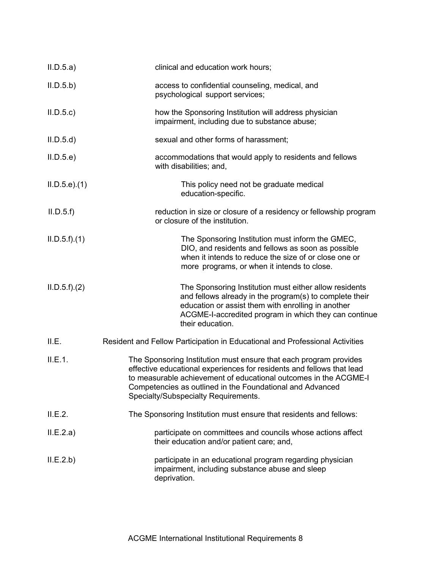| II.D.5.a)          | clinical and education work hours;                                                                                                                                                                                                                                                                                  |
|--------------------|---------------------------------------------------------------------------------------------------------------------------------------------------------------------------------------------------------------------------------------------------------------------------------------------------------------------|
| II.D.5.b)          | access to confidential counseling, medical, and<br>psychological support services;                                                                                                                                                                                                                                  |
| II.D.5.c           | how the Sponsoring Institution will address physician<br>impairment, including due to substance abuse;                                                                                                                                                                                                              |
| II.D.5.d           | sexual and other forms of harassment;                                                                                                                                                                                                                                                                               |
| II.D.5.e           | accommodations that would apply to residents and fellows<br>with disabilities; and,                                                                                                                                                                                                                                 |
| $ILD.5.e$ ). $(1)$ | This policy need not be graduate medical<br>education-specific.                                                                                                                                                                                                                                                     |
| II.D.5.f           | reduction in size or closure of a residency or fellowship program<br>or closure of the institution.                                                                                                                                                                                                                 |
| ILD.5.f).(1)       | The Sponsoring Institution must inform the GMEC,<br>DIO, and residents and fellows as soon as possible<br>when it intends to reduce the size of or close one or<br>more programs, or when it intends to close.                                                                                                      |
| ILD.5.f).(2)       | The Sponsoring Institution must either allow residents<br>and fellows already in the program(s) to complete their<br>education or assist them with enrolling in another<br>ACGME-I-accredited program in which they can continue<br>their education.                                                                |
| II.E.              | Resident and Fellow Participation in Educational and Professional Activities                                                                                                                                                                                                                                        |
| II.E.1.            | The Sponsoring Institution must ensure that each program provides<br>effective educational experiences for residents and fellows that lead<br>to measurable achievement of educational outcomes in the ACGME-I<br>Competencies as outlined in the Foundational and Advanced<br>Specialty/Subspecialty Requirements. |
| II.E.2.            | The Sponsoring Institution must ensure that residents and fellows:                                                                                                                                                                                                                                                  |
| ILE.2.a)           | participate on committees and councils whose actions affect<br>their education and/or patient care; and,                                                                                                                                                                                                            |
| II.E.2.b)          | participate in an educational program regarding physician<br>impairment, including substance abuse and sleep<br>deprivation.                                                                                                                                                                                        |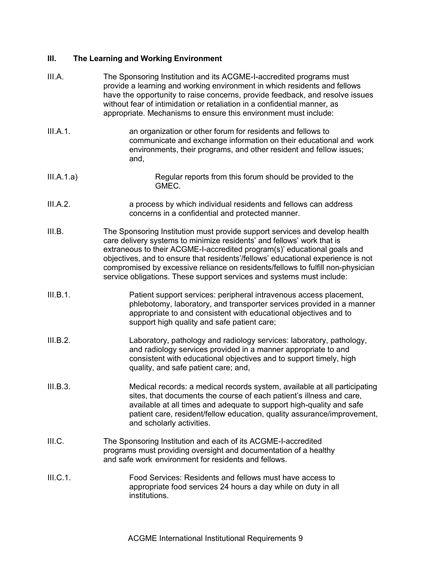## **III. The Learning and Working Environment**

| III.A.     | The Sponsoring Institution and its ACGME-I-accredited programs must<br>provide a learning and working environment in which residents and fellows<br>have the opportunity to raise concerns, provide feedback, and resolve issues<br>without fear of intimidation or retaliation in a confidential manner, as<br>appropriate. Mechanisms to ensure this environment must include:                                                                                                  |
|------------|-----------------------------------------------------------------------------------------------------------------------------------------------------------------------------------------------------------------------------------------------------------------------------------------------------------------------------------------------------------------------------------------------------------------------------------------------------------------------------------|
| III.A.1.   | an organization or other forum for residents and fellows to<br>communicate and exchange information on their educational and work<br>environments, their programs, and other resident and fellow issues;<br>and,                                                                                                                                                                                                                                                                  |
| III.A.1.a) | Regular reports from this forum should be provided to the<br>GMEC.                                                                                                                                                                                                                                                                                                                                                                                                                |
| III.A.2.   | a process by which individual residents and fellows can address<br>concerns in a confidential and protected manner.                                                                                                                                                                                                                                                                                                                                                               |
| III.B.     | The Sponsoring Institution must provide support services and develop health<br>care delivery systems to minimize residents' and fellows' work that is<br>extraneous to their ACGME-I-accredited program(s)' educational goals and<br>objectives, and to ensure that residents'/fellows' educational experience is not<br>compromised by excessive reliance on residents/fellows to fulfill non-physician<br>service obligations. These support services and systems must include: |
| III.B.1.   | Patient support services: peripheral intravenous access placement,<br>phlebotomy, laboratory, and transporter services provided in a manner<br>appropriate to and consistent with educational objectives and to<br>support high quality and safe patient care;                                                                                                                                                                                                                    |
| III.B.2.   | Laboratory, pathology and radiology services: laboratory, pathology,<br>and radiology services provided in a manner appropriate to and<br>consistent with educational objectives and to support timely, high<br>quality, and safe patient care; and,                                                                                                                                                                                                                              |
| III.B.3.   | Medical records: a medical records system, available at all participating<br>sites, that documents the course of each patient's illness and care,<br>available at all times and adequate to support high-quality and safe<br>patient care, resident/fellow education, quality assurance/improvement,<br>and scholarly activities.                                                                                                                                                 |
| III.C.     | The Sponsoring Institution and each of its ACGME-I-accredited<br>programs must providing oversight and documentation of a healthy<br>and safe work environment for residents and fellows.                                                                                                                                                                                                                                                                                         |
| III.C.1.   | Food Services: Residents and fellows must have access to<br>appropriate food services 24 hours a day while on duty in all<br>institutions.                                                                                                                                                                                                                                                                                                                                        |
|            |                                                                                                                                                                                                                                                                                                                                                                                                                                                                                   |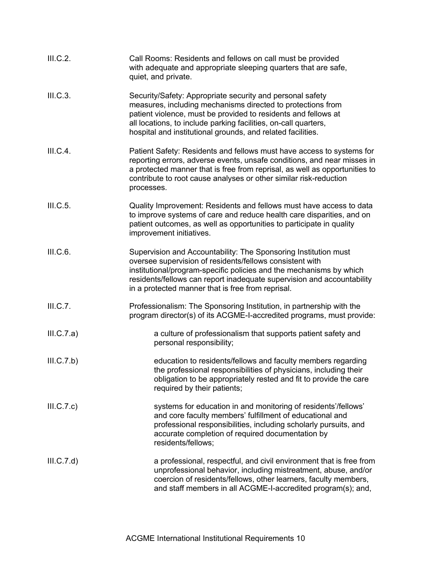| III.C.2.   | Call Rooms: Residents and fellows on call must be provided<br>with adequate and appropriate sleeping quarters that are safe,<br>quiet, and private.                                                                                                                                                                               |
|------------|-----------------------------------------------------------------------------------------------------------------------------------------------------------------------------------------------------------------------------------------------------------------------------------------------------------------------------------|
| III.C.3.   | Security/Safety: Appropriate security and personal safety<br>measures, including mechanisms directed to protections from<br>patient violence, must be provided to residents and fellows at<br>all locations, to include parking facilities, on-call quarters,<br>hospital and institutional grounds, and related facilities.      |
| III.C.4.   | Patient Safety: Residents and fellows must have access to systems for<br>reporting errors, adverse events, unsafe conditions, and near misses in<br>a protected manner that is free from reprisal, as well as opportunities to<br>contribute to root cause analyses or other similar risk-reduction<br>processes.                 |
| III.C.5.   | Quality Improvement: Residents and fellows must have access to data<br>to improve systems of care and reduce health care disparities, and on<br>patient outcomes, as well as opportunities to participate in quality<br>improvement initiatives.                                                                                  |
| III.C.6.   | Supervision and Accountability: The Sponsoring Institution must<br>oversee supervision of residents/fellows consistent with<br>institutional/program-specific policies and the mechanisms by which<br>residents/fellows can report inadequate supervision and accountability<br>in a protected manner that is free from reprisal. |
| III.C.7.   | Professionalism: The Sponsoring Institution, in partnership with the<br>program director(s) of its ACGME-I-accredited programs, must provide:                                                                                                                                                                                     |
| III.C.7.a) | a culture of professionalism that supports patient safety and<br>personal responsibility;                                                                                                                                                                                                                                         |
| III.C.7.b) | education to residents/fellows and faculty members regarding<br>the professional responsibilities of physicians, including their<br>obligation to be appropriately rested and fit to provide the care<br>required by their patients;                                                                                              |
| III.C.7.c) | systems for education in and monitoring of residents'/fellows'<br>and core faculty members' fulfillment of educational and<br>professional responsibilities, including scholarly pursuits, and<br>accurate completion of required documentation by<br>residents/fellows;                                                          |
| III.C.7.d) | a professional, respectful, and civil environment that is free from<br>unprofessional behavior, including mistreatment, abuse, and/or<br>coercion of residents/fellows, other learners, faculty members,<br>and staff members in all ACGME-I-accredited program(s); and,                                                          |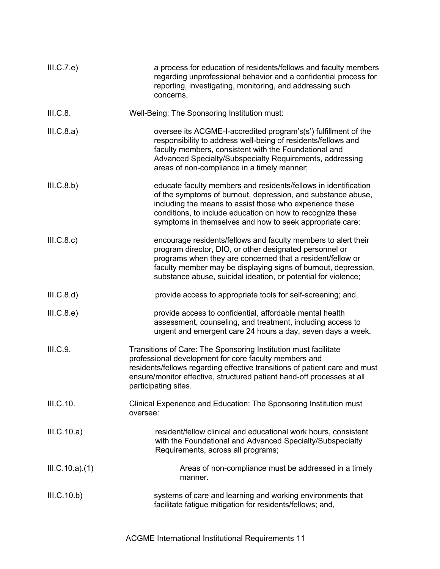| III.C.7.e)     | a process for education of residents/fellows and faculty members<br>regarding unprofessional behavior and a confidential process for<br>reporting, investigating, monitoring, and addressing such<br>concerns.                                                                                                              |
|----------------|-----------------------------------------------------------------------------------------------------------------------------------------------------------------------------------------------------------------------------------------------------------------------------------------------------------------------------|
| III.C.8.       | Well-Being: The Sponsoring Institution must:                                                                                                                                                                                                                                                                                |
| III.C.8.a)     | oversee its ACGME-I-accredited program's(s') fulfillment of the<br>responsibility to address well-being of residents/fellows and<br>faculty members, consistent with the Foundational and<br>Advanced Specialty/Subspecialty Requirements, addressing<br>areas of non-compliance in a timely manner;                        |
| III.C.8.b)     | educate faculty members and residents/fellows in identification<br>of the symptoms of burnout, depression, and substance abuse,<br>including the means to assist those who experience these<br>conditions, to include education on how to recognize these<br>symptoms in themselves and how to seek appropriate care;       |
| III.C.8.c)     | encourage residents/fellows and faculty members to alert their<br>program director, DIO, or other designated personnel or<br>programs when they are concerned that a resident/fellow or<br>faculty member may be displaying signs of burnout, depression,<br>substance abuse, suicidal ideation, or potential for violence; |
| III.C.8.d)     | provide access to appropriate tools for self-screening; and,                                                                                                                                                                                                                                                                |
| III.C.8.e)     | provide access to confidential, affordable mental health<br>assessment, counseling, and treatment, including access to<br>urgent and emergent care 24 hours a day, seven days a week.                                                                                                                                       |
| III.C.9.       | Transitions of Care: The Sponsoring Institution must facilitate<br>professional development for core faculty members and<br>residents/fellows regarding effective transitions of patient care and must<br>ensure/monitor effective, structured patient hand-off processes at all<br>participating sites.                    |
| III.C.10.      | Clinical Experience and Education: The Sponsoring Institution must<br>oversee:                                                                                                                                                                                                                                              |
| III.C.10.a)    | resident/fellow clinical and educational work hours, consistent<br>with the Foundational and Advanced Specialty/Subspecialty<br>Requirements, across all programs;                                                                                                                                                          |
| III.C.10.a)(1) | Areas of non-compliance must be addressed in a timely<br>manner.                                                                                                                                                                                                                                                            |
| III.C.10.b)    | systems of care and learning and working environments that<br>facilitate fatigue mitigation for residents/fellows; and,                                                                                                                                                                                                     |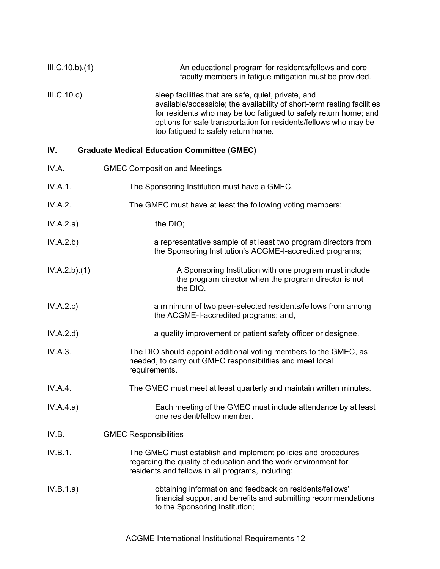| III.C.10.b)(1) | An educational program for residents/fellows and core<br>faculty members in fatigue mitigation must be provided.                                                                                                                                                                                              |
|----------------|---------------------------------------------------------------------------------------------------------------------------------------------------------------------------------------------------------------------------------------------------------------------------------------------------------------|
| III.C.10.c)    | sleep facilities that are safe, quiet, private, and<br>available/accessible; the availability of short-term resting facilities<br>for residents who may be too fatigued to safely return home; and<br>options for safe transportation for residents/fellows who may be<br>too fatigued to safely return home. |

## **IV. Graduate Medical Education Committee (GMEC)**

| IV.A.        | <b>GMEC Composition and Meetings</b>                                                                                                                                                  |
|--------------|---------------------------------------------------------------------------------------------------------------------------------------------------------------------------------------|
| IV.A.1.      | The Sponsoring Institution must have a GMEC.                                                                                                                                          |
| IV.A.2.      | The GMEC must have at least the following voting members:                                                                                                                             |
| IV.A.2.a)    | the DIO;                                                                                                                                                                              |
| IV.A.2.b)    | a representative sample of at least two program directors from<br>the Sponsoring Institution's ACGME-I-accredited programs;                                                           |
| IV.A.2.b)(1) | A Sponsoring Institution with one program must include<br>the program director when the program director is not<br>the DIO.                                                           |
| IV.A.2.c)    | a minimum of two peer-selected residents/fellows from among<br>the ACGME-I-accredited programs; and,                                                                                  |
| IV.A.2.d)    | a quality improvement or patient safety officer or designee.                                                                                                                          |
| IV.A.3.      | The DIO should appoint additional voting members to the GMEC, as<br>needed, to carry out GMEC responsibilities and meet local<br>requirements.                                        |
| IV.A.4.      | The GMEC must meet at least quarterly and maintain written minutes.                                                                                                                   |
| IV.A.4.a)    | Each meeting of the GMEC must include attendance by at least<br>one resident/fellow member.                                                                                           |
| IV.B.        | <b>GMEC Responsibilities</b>                                                                                                                                                          |
| IV.B.1.      | The GMEC must establish and implement policies and procedures<br>regarding the quality of education and the work environment for<br>residents and fellows in all programs, including: |
| IV.B.1.a)    | obtaining information and feedback on residents/fellows'<br>financial support and benefits and submitting recommendations<br>to the Sponsoring Institution;                           |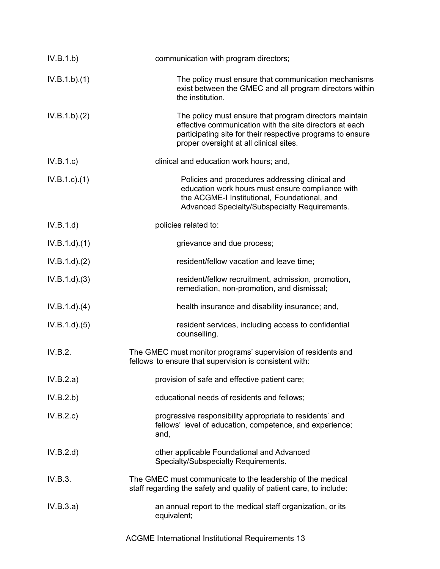| IV.B.1.b)       | communication with program directors;                                                                                                                                                                                      |
|-----------------|----------------------------------------------------------------------------------------------------------------------------------------------------------------------------------------------------------------------------|
| IV.B.1.b)(1)    | The policy must ensure that communication mechanisms<br>exist between the GMEC and all program directors within<br>the institution.                                                                                        |
| IV.B.1.b)(2)    | The policy must ensure that program directors maintain<br>effective communication with the site directors at each<br>participating site for their respective programs to ensure<br>proper oversight at all clinical sites. |
| IV.B.1.c)       | clinical and education work hours; and,                                                                                                                                                                                    |
| $IV.B.1.c.$ (1) | Policies and procedures addressing clinical and<br>education work hours must ensure compliance with<br>the ACGME-I Institutional, Foundational, and<br>Advanced Specialty/Subspecialty Requirements.                       |
| IV.B.1.d)       | policies related to:                                                                                                                                                                                                       |
| IV.B.1.d)(1)    | grievance and due process;                                                                                                                                                                                                 |
| IV.B.1.d)(2)    | resident/fellow vacation and leave time;                                                                                                                                                                                   |
| IV.B.1.d)(3)    | resident/fellow recruitment, admission, promotion,<br>remediation, non-promotion, and dismissal;                                                                                                                           |
| IV.B.1.d)(4)    | health insurance and disability insurance; and,                                                                                                                                                                            |
| IV.B.1.d)(5)    | resident services, including access to confidential<br>counselling.                                                                                                                                                        |
| IV.B.2.         | The GMEC must monitor programs' supervision of residents and<br>fellows to ensure that supervision is consistent with:                                                                                                     |
| IV.B.2.a)       | provision of safe and effective patient care;                                                                                                                                                                              |
| IV.B.2.b)       | educational needs of residents and fellows;                                                                                                                                                                                |
| IV.B.2.c        | progressive responsibility appropriate to residents' and<br>fellows' level of education, competence, and experience;<br>and,                                                                                               |
| IV.B.2.d)       | other applicable Foundational and Advanced<br>Specialty/Subspecialty Requirements.                                                                                                                                         |
| IV.B.3.         | The GMEC must communicate to the leadership of the medical<br>staff regarding the safety and quality of patient care, to include:                                                                                          |
| IV.B.3.a)       | an annual report to the medical staff organization, or its<br>equivalent;                                                                                                                                                  |

ACGME International Institutional Requirements 13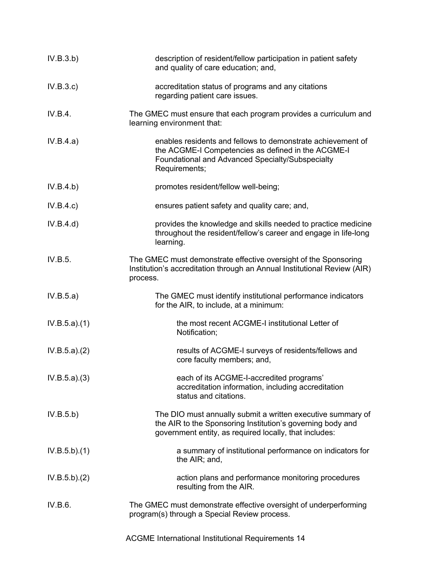| IV.B.3.b)    | description of resident/fellow participation in patient safety<br>and quality of care education; and,                                                                                  |
|--------------|----------------------------------------------------------------------------------------------------------------------------------------------------------------------------------------|
| IV.B.3.c     | accreditation status of programs and any citations<br>regarding patient care issues.                                                                                                   |
| IV.B.4.      | The GMEC must ensure that each program provides a curriculum and<br>learning environment that:                                                                                         |
| IV.B.4.a)    | enables residents and fellows to demonstrate achievement of<br>the ACGME-I Competencies as defined in the ACGME-I<br>Foundational and Advanced Specialty/Subspecialty<br>Requirements; |
| IV.B.4.b)    | promotes resident/fellow well-being;                                                                                                                                                   |
| IV.B.4.c)    | ensures patient safety and quality care; and,                                                                                                                                          |
| IV.B.4.d)    | provides the knowledge and skills needed to practice medicine<br>throughout the resident/fellow's career and engage in life-long<br>learning.                                          |
| IV.B.5.      | The GMEC must demonstrate effective oversight of the Sponsoring<br>Institution's accreditation through an Annual Institutional Review (AIR)<br>process.                                |
| IV.B.5.a)    | The GMEC must identify institutional performance indicators<br>for the AIR, to include, at a minimum:                                                                                  |
| IV.B.5.a)(1) | the most recent ACGME-I institutional Letter of<br>Notification;                                                                                                                       |
| IV.B.5.a)(2) | results of ACGME-I surveys of residents/fellows and<br>core faculty members; and,                                                                                                      |
| IV.B.5.a)(3) | each of its ACGME-I-accredited programs'<br>accreditation information, including accreditation<br>status and citations.                                                                |
| IV.B.5.b)    | The DIO must annually submit a written executive summary of<br>the AIR to the Sponsoring Institution's governing body and<br>government entity, as required locally, that includes:    |
| IV.B.5.b)(1) | a summary of institutional performance on indicators for<br>the AIR; and,                                                                                                              |
| IV.B.5.b)(2) | action plans and performance monitoring procedures<br>resulting from the AIR.                                                                                                          |
| IV.B.6.      | The GMEC must demonstrate effective oversight of underperforming<br>program(s) through a Special Review process.                                                                       |

ACGME International Institutional Requirements 14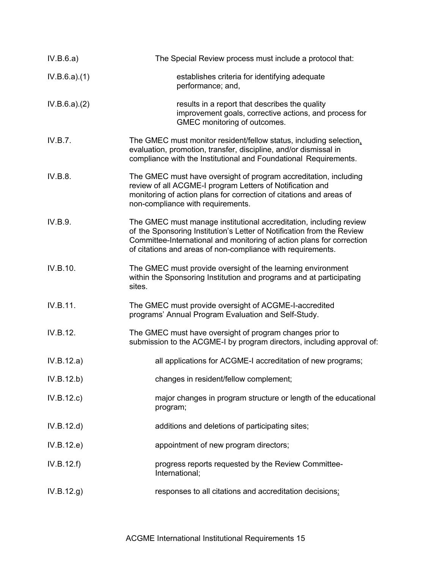| IV.B.6.a)    | The Special Review process must include a protocol that:                                                                                                                                                                                                                             |
|--------------|--------------------------------------------------------------------------------------------------------------------------------------------------------------------------------------------------------------------------------------------------------------------------------------|
| IV.B.6.a)(1) | establishes criteria for identifying adequate<br>performance; and,                                                                                                                                                                                                                   |
| IV.B.6.a)(2) | results in a report that describes the quality<br>improvement goals, corrective actions, and process for<br>GMEC monitoring of outcomes.                                                                                                                                             |
| IV.B.7.      | The GMEC must monitor resident/fellow status, including selection,<br>evaluation, promotion, transfer, discipline, and/or dismissal in<br>compliance with the Institutional and Foundational Requirements.                                                                           |
| IV.B.8.      | The GMEC must have oversight of program accreditation, including<br>review of all ACGME-I program Letters of Notification and<br>monitoring of action plans for correction of citations and areas of<br>non-compliance with requirements.                                            |
| IV.B.9.      | The GMEC must manage institutional accreditation, including review<br>of the Sponsoring Institution's Letter of Notification from the Review<br>Committee-International and monitoring of action plans for correction<br>of citations and areas of non-compliance with requirements. |
| IV.B.10.     | The GMEC must provide oversight of the learning environment<br>within the Sponsoring Institution and programs and at participating<br>sites.                                                                                                                                         |
| IV.B.11.     | The GMEC must provide oversight of ACGME-I-accredited<br>programs' Annual Program Evaluation and Self-Study.                                                                                                                                                                         |
| IV.B.12.     | The GMEC must have oversight of program changes prior to<br>submission to the ACGME-I by program directors, including approval of:                                                                                                                                                   |
| IV.B.12.a)   | all applications for ACGME-I accreditation of new programs;                                                                                                                                                                                                                          |
| IV.B.12.b)   | changes in resident/fellow complement;                                                                                                                                                                                                                                               |
| IV.B.12.c)   | major changes in program structure or length of the educational<br>program;                                                                                                                                                                                                          |
| IV.B.12.d)   | additions and deletions of participating sites;                                                                                                                                                                                                                                      |
| IV.B.12.e)   | appointment of new program directors;                                                                                                                                                                                                                                                |
| IV.B.12.f)   | progress reports requested by the Review Committee-<br>International;                                                                                                                                                                                                                |
| IV.B.12.g)   | responses to all citations and accreditation decisions;                                                                                                                                                                                                                              |